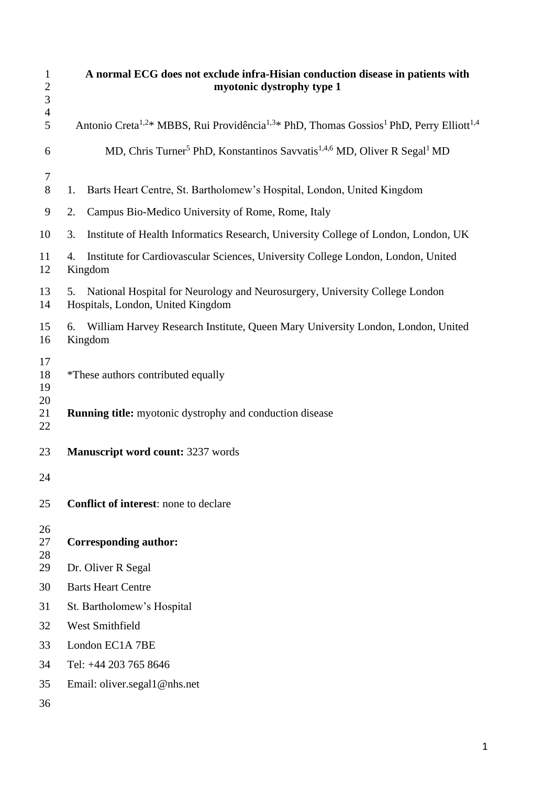| $\mathbf{1}$<br>$\overline{c}$<br>3 | A normal ECG does not exclude infra-Hisian conduction disease in patients with<br>myotonic dystrophy type 1                            |  |  |  |
|-------------------------------------|----------------------------------------------------------------------------------------------------------------------------------------|--|--|--|
| $\overline{4}$<br>5                 | Antonio Creta <sup>1,2*</sup> MBBS, Rui Providência <sup>1,3*</sup> PhD, Thomas Gossios <sup>1</sup> PhD, Perry Elliott <sup>1,4</sup> |  |  |  |
| 6                                   | MD, Chris Turner <sup>5</sup> PhD, Konstantinos Savvatis <sup>1,4,6</sup> MD, Oliver R Segal <sup>1</sup> MD                           |  |  |  |
| 7                                   |                                                                                                                                        |  |  |  |
| 8                                   | Barts Heart Centre, St. Bartholomew's Hospital, London, United Kingdom<br>1.                                                           |  |  |  |
| 9                                   | Campus Bio-Medico University of Rome, Rome, Italy<br>2.                                                                                |  |  |  |
| 10                                  | Institute of Health Informatics Research, University College of London, London, UK<br>3.                                               |  |  |  |
| 11<br>12                            | Institute for Cardiovascular Sciences, University College London, London, United<br>4.<br>Kingdom                                      |  |  |  |
| 13<br>14                            | National Hospital for Neurology and Neurosurgery, University College London<br>5.<br>Hospitals, London, United Kingdom                 |  |  |  |
| 15<br>16                            | William Harvey Research Institute, Queen Mary University London, London, United<br>6.<br>Kingdom                                       |  |  |  |
| 17<br>18<br>19                      | *These authors contributed equally                                                                                                     |  |  |  |
| 20<br>21<br>22                      | <b>Running title:</b> myotonic dystrophy and conduction disease                                                                        |  |  |  |
| 23                                  | <b>Manuscript word count: 3237 words</b>                                                                                               |  |  |  |
| 24                                  |                                                                                                                                        |  |  |  |
| 25                                  | <b>Conflict of interest:</b> none to declare                                                                                           |  |  |  |
| 26<br>27<br>28                      | <b>Corresponding author:</b>                                                                                                           |  |  |  |
| 29                                  | Dr. Oliver R Segal                                                                                                                     |  |  |  |
| 30                                  | <b>Barts Heart Centre</b>                                                                                                              |  |  |  |
| 31                                  | St. Bartholomew's Hospital                                                                                                             |  |  |  |
| 32                                  | West Smithfield                                                                                                                        |  |  |  |
| 33                                  | London EC1A 7BE                                                                                                                        |  |  |  |
| 34                                  | Tel: +44 203 765 8646                                                                                                                  |  |  |  |
| 35                                  | Email: oliver.segal1@nhs.net                                                                                                           |  |  |  |
| 36                                  |                                                                                                                                        |  |  |  |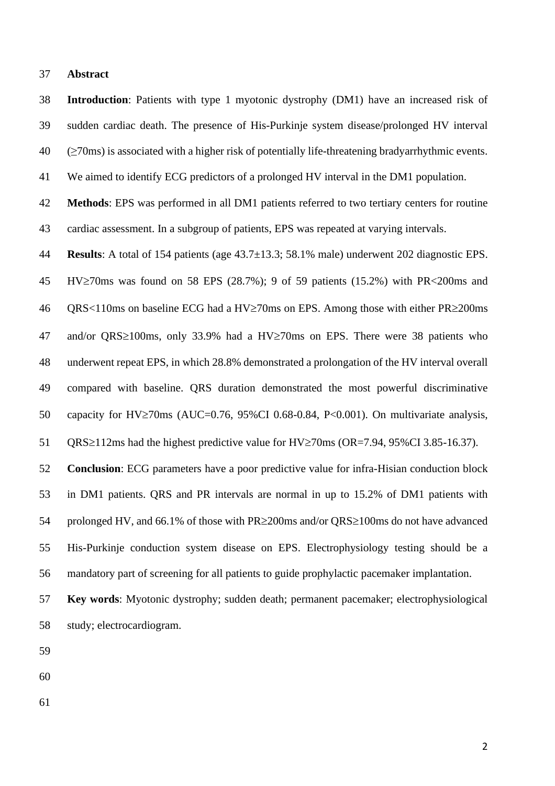#### **Abstract**

 **Introduction**: Patients with type 1 myotonic dystrophy (DM1) have an increased risk of sudden cardiac death. The presence of His-Purkinje system disease/prolonged HV interval  $40 \quad \text{(≥70ms)}$  is associated with a higher risk of potentially life-threatening bradyarrhythmic events.

We aimed to identify ECG predictors of a prolonged HV interval in the DM1 population.

 **Methods**: EPS was performed in all DM1 patients referred to two tertiary centers for routine cardiac assessment. In a subgroup of patients, EPS was repeated at varying intervals.

 **Results**: A total of 154 patients (age 43.7±13.3; 58.1% male) underwent 202 diagnostic EPS. HV $\geq$ 70ms was found on 58 EPS (28.7%); 9 of 59 patients (15.2%) with PR<200ms and 46 QRS<110ms on baseline ECG had a HV $\geq$ 70ms on EPS. Among those with either PR $\geq$ 200ms 47 and/or QRS $\geq$ 100ms, only 33.9% had a HV $\geq$ 70ms on EPS. There were 38 patients who underwent repeat EPS, in which 28.8% demonstrated a prolongation of the HV interval overall compared with baseline. QRS duration demonstrated the most powerful discriminative 50 capacity for HV $\geq$ 70ms (AUC=0.76, 95%CI 0.68-0.84, P<0.001). On multivariate analysis,

51 QRS $\geq$ 112ms had the highest predictive value for HV $\geq$ 70ms (OR=7.94, 95%CI 3.85-16.37).

 **Conclusion**: ECG parameters have a poor predictive value for infra-Hisian conduction block in DM1 patients. QRS and PR intervals are normal in up to 15.2% of DM1 patients with 54 prolonged HV, and 66.1% of those with  $PR \geq 200$ ms and/or  $QRS \geq 100$ ms do not have advanced His-Purkinje conduction system disease on EPS. Electrophysiology testing should be a mandatory part of screening for all patients to guide prophylactic pacemaker implantation.

 **Key words**: Myotonic dystrophy; sudden death; permanent pacemaker; electrophysiological study; electrocardiogram.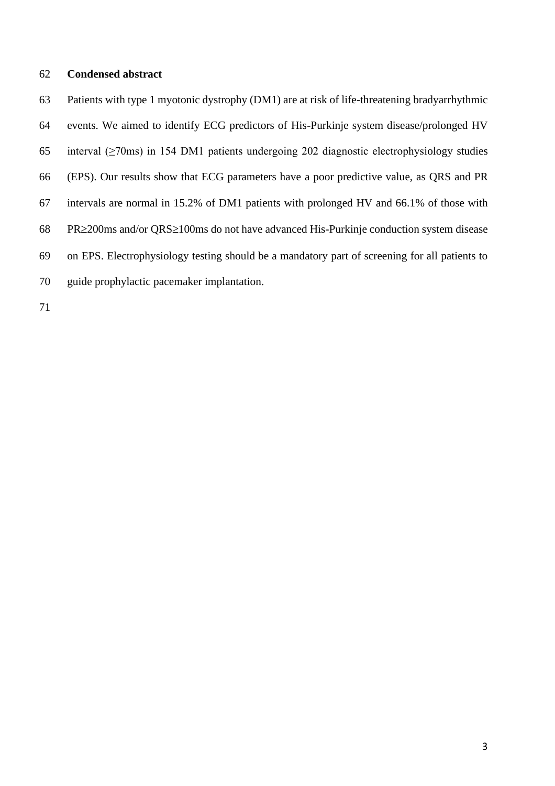#### **Condensed abstract**

 Patients with type 1 myotonic dystrophy (DM1) are at risk of life-threatening bradyarrhythmic events. We aimed to identify ECG predictors of His-Purkinje system disease/prolonged HV interval (≥70ms) in 154 DM1 patients undergoing 202 diagnostic electrophysiology studies (EPS). Our results show that ECG parameters have a poor predictive value, as QRS and PR intervals are normal in 15.2% of DM1 patients with prolonged HV and 66.1% of those with PR $\geq$ 200ms and/or QRS $\geq$ 100ms do not have advanced His-Purkinje conduction system disease on EPS. Electrophysiology testing should be a mandatory part of screening for all patients to guide prophylactic pacemaker implantation.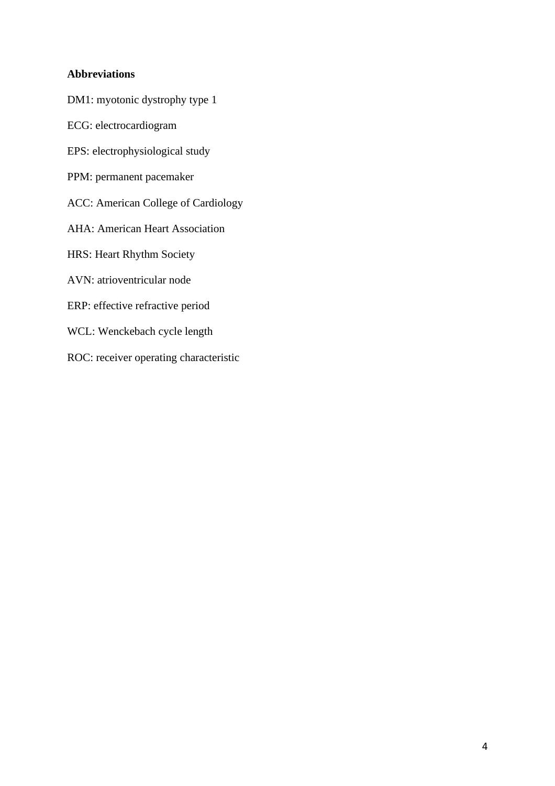## **Abbreviations**

DM1: myotonic dystrophy type 1

ECG: electrocardiogram

EPS: electrophysiological study

PPM: permanent pacemaker

ACC: American College of Cardiology

AHA: American Heart Association

HRS: Heart Rhythm Society

AVN: atrioventricular node

ERP: effective refractive period

WCL: Wenckebach cycle length

ROC: receiver operating characteristic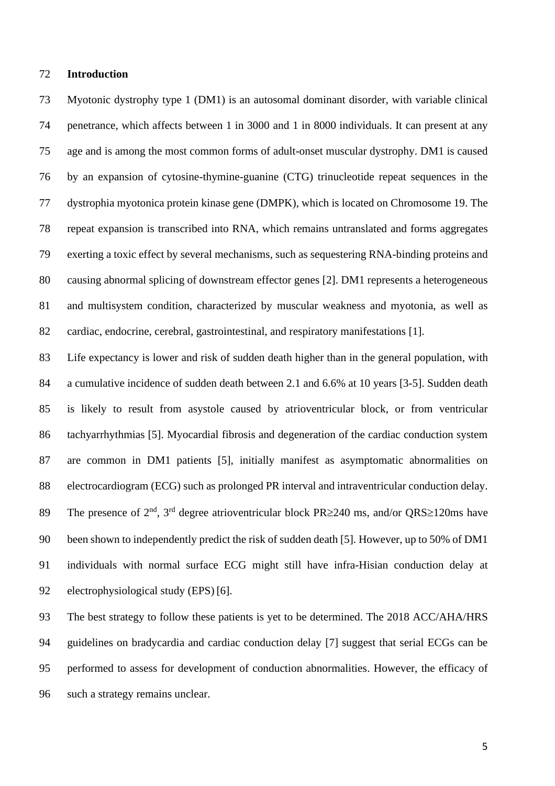#### **Introduction**

 Myotonic dystrophy type 1 (DM1) is an autosomal dominant disorder, with variable clinical penetrance, which affects between 1 in 3000 and 1 in 8000 individuals. It can present at any age and is among the most common forms of adult-onset muscular dystrophy. DM1 is caused by an expansion of cytosine-thymine-guanine (CTG) trinucleotide repeat sequences in the dystrophia myotonica protein kinase gene (DMPK), which is located on Chromosome 19. The repeat expansion is transcribed into RNA, which remains untranslated and forms aggregates exerting a toxic effect by several mechanisms, such as sequestering RNA-binding proteins and causing abnormal splicing of downstream effector genes [2]. DM1 represents a heterogeneous and multisystem condition, characterized by muscular weakness and myotonia, as well as cardiac, endocrine, cerebral, gastrointestinal, and respiratory manifestations [1].

 Life expectancy is lower and risk of sudden death higher than in the general population, with a cumulative incidence of sudden death between 2.1 and 6.6% at 10 years [3-5]. Sudden death is likely to result from asystole caused by atrioventricular block, or from ventricular tachyarrhythmias [5]. Myocardial fibrosis and degeneration of the cardiac conduction system are common in DM1 patients [5], initially manifest as asymptomatic abnormalities on electrocardiogram (ECG) such as prolonged PR interval and intraventricular conduction delay. 89 The presence of  $2<sup>nd</sup>$ ,  $3<sup>rd</sup>$  degree atrioventricular block PR $\geq$ 240 ms, and/or QRS $\geq$ 120ms have been shown to independently predict the risk of sudden death [5]. However, up to 50% of DM1 individuals with normal surface ECG might still have infra-Hisian conduction delay at electrophysiological study (EPS) [6].

93 The best strategy to follow these patients is yet to be determined. The 2018 ACC/AHA/HRS guidelines on bradycardia and cardiac conduction delay [7] suggest that serial ECGs can be performed to assess for development of conduction abnormalities. However, the efficacy of such a strategy remains unclear.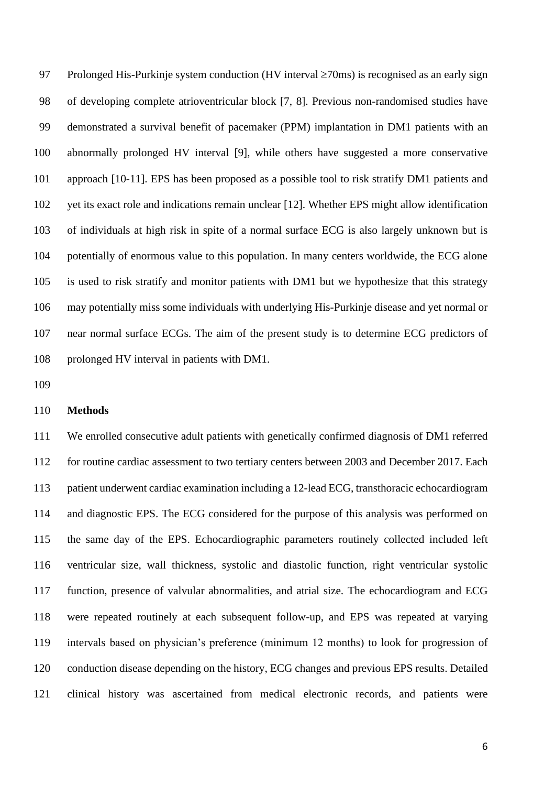97 Prolonged His-Purkinje system conduction (HV interval  $\geq$ 70ms) is recognised as an early sign of developing complete atrioventricular block [7, 8]. Previous non-randomised studies have demonstrated a survival benefit of pacemaker (PPM) implantation in DM1 patients with an abnormally prolonged HV interval [9], while others have suggested a more conservative approach [10-11]. EPS has been proposed as a possible tool to risk stratify DM1 patients and yet its exact role and indications remain unclear [12]. Whether EPS might allow identification of individuals at high risk in spite of a normal surface ECG is also largely unknown but is potentially of enormous value to this population. In many centers worldwide, the ECG alone is used to risk stratify and monitor patients with DM1 but we hypothesize that this strategy may potentially miss some individuals with underlying His-Purkinje disease and yet normal or near normal surface ECGs. The aim of the present study is to determine ECG predictors of prolonged HV interval in patients with DM1.

#### **Methods**

 We enrolled consecutive adult patients with genetically confirmed diagnosis of DM1 referred for routine cardiac assessment to two tertiary centers between 2003 and December 2017. Each patient underwent cardiac examination including a 12-lead ECG, transthoracic echocardiogram and diagnostic EPS. The ECG considered for the purpose of this analysis was performed on the same day of the EPS. Echocardiographic parameters routinely collected included left ventricular size, wall thickness, systolic and diastolic function, right ventricular systolic function, presence of valvular abnormalities, and atrial size. The echocardiogram and ECG were repeated routinely at each subsequent follow-up, and EPS was repeated at varying intervals based on physician's preference (minimum 12 months) to look for progression of conduction disease depending on the history, ECG changes and previous EPS results. Detailed clinical history was ascertained from medical electronic records, and patients were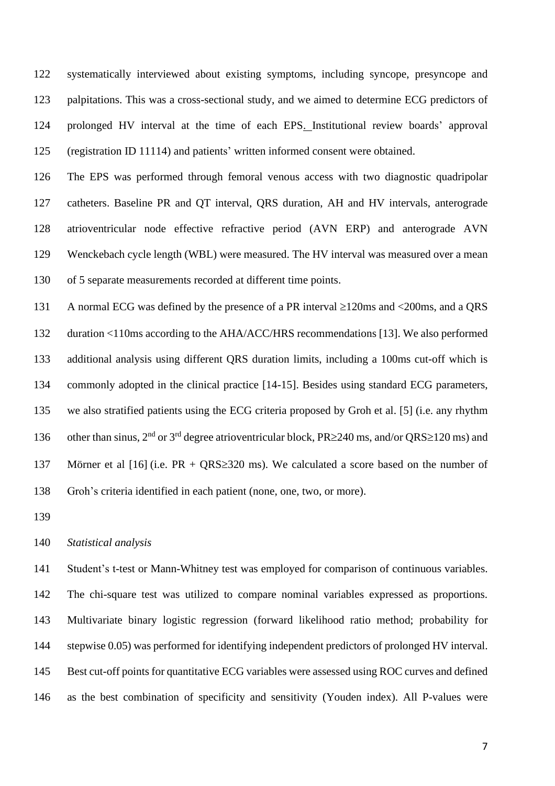systematically interviewed about existing symptoms, including syncope, presyncope and palpitations. This was a cross-sectional study, and we aimed to determine ECG predictors of prolonged HV interval at the time of each EPS. Institutional review boards' approval (registration ID 11114) and patients' written informed consent were obtained.

 The EPS was performed through femoral venous access with two diagnostic quadripolar catheters. Baseline PR and QT interval, QRS duration, AH and HV intervals, anterograde atrioventricular node effective refractive period (AVN ERP) and anterograde AVN Wenckebach cycle length (WBL) were measured. The HV interval was measured over a mean of 5 separate measurements recorded at different time points.

131 A normal ECG was defined by the presence of a PR interval  $\geq$ 120ms and  $\lt$ 200ms, and a QRS duration <110ms according to the AHA/ACC/HRS recommendations [13]. We also performed additional analysis using different QRS duration limits, including a 100ms cut-off which is commonly adopted in the clinical practice [14-15]. Besides using standard ECG parameters, we also stratified patients using the ECG criteria proposed by Groh et al. [5] (i.e. any rhythm 136 other than sinus,  $2^{nd}$  or  $3^{rd}$  degree atrioventricular block, PR $\geq$ 240 ms, and/or QRS $\geq$ 120 ms) and 137 Mörner et al  $[16]$  (i.e. PR + QRS $\geq$ 320 ms). We calculated a score based on the number of Groh's criteria identified in each patient (none, one, two, or more).

*Statistical analysis*

 Student's t-test or Mann-Whitney test was employed for comparison of continuous variables. The chi-square test was utilized to compare nominal variables expressed as proportions. Multivariate binary logistic regression (forward likelihood ratio method; probability for stepwise 0.05) was performed for identifying independent predictors of prolonged HV interval. Best cut-off points for quantitative ECG variables were assessed using ROC curves and defined as the best combination of specificity and sensitivity (Youden index). All P-values were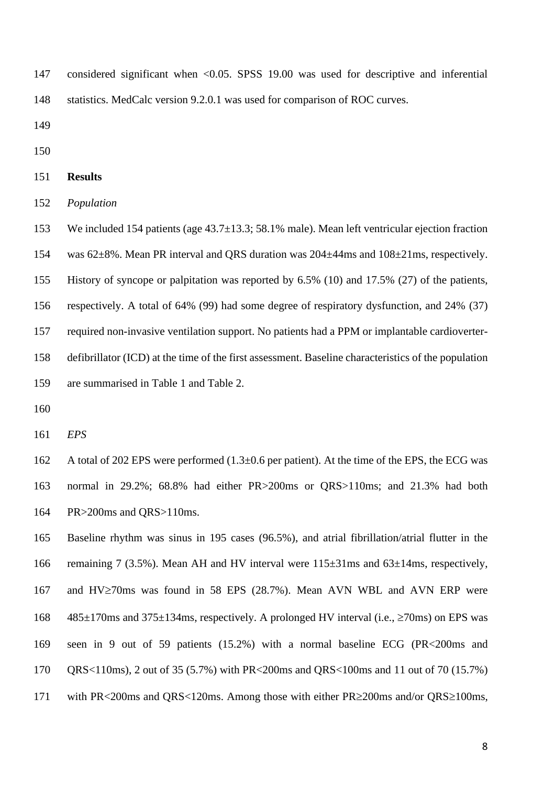considered significant when <0.05. SPSS 19.00 was used for descriptive and inferential statistics. MedCalc version 9.2.0.1 was used for comparison of ROC curves.

**Results**

*Population*

 We included 154 patients (age 43.7±13.3; 58.1% male). Mean left ventricular ejection fraction was 62±8%. Mean PR interval and QRS duration was 204±44ms and 108±21ms, respectively. History of syncope or palpitation was reported by 6.5% (10) and 17.5% (27) of the patients, respectively. A total of 64% (99) had some degree of respiratory dysfunction, and 24% (37) required non-invasive ventilation support. No patients had a PPM or implantable cardioverter- defibrillator (ICD) at the time of the first assessment. Baseline characteristics of the population are summarised in Table 1 and Table 2.

*EPS*

 A total of 202 EPS were performed (1.3±0.6 per patient). At the time of the EPS, the ECG was normal in 29.2%; 68.8% had either PR>200ms or QRS>110ms; and 21.3% had both PR>200ms and QRS>110ms.

 Baseline rhythm was sinus in 195 cases (96.5%), and atrial fibrillation/atrial flutter in the remaining 7 (3.5%). Mean AH and HV interval were 115±31ms and 63±14ms, respectively, 167 and HV $\ge$ 70ms was found in 58 EPS (28.7%). Mean AVN WBL and AVN ERP were 168 485 $\pm$ 170ms and 375 $\pm$ 134ms, respectively. A prolonged HV interval (i.e.,  $\ge$ 70ms) on EPS was seen in 9 out of 59 patients (15.2%) with a normal baseline ECG (PR<200ms and QRS<110ms), 2 out of 35 (5.7%) with PR<200ms and QRS<100ms and 11 out of 70 (15.7%) 171 with PR<200ms and QRS<120ms. Among those with either PR≥200ms and/or QRS≥100ms,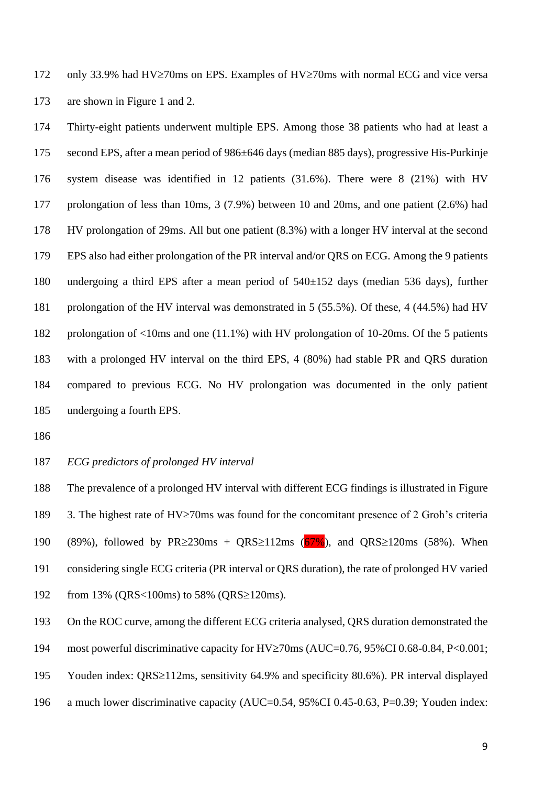172 only 33.9% had HV $\ge$ 70ms on EPS. Examples of HV $\ge$ 70ms with normal ECG and vice versa are shown in Figure 1 and 2.

 Thirty-eight patients underwent multiple EPS. Among those 38 patients who had at least a second EPS, after a mean period of 986±646 days (median 885 days), progressive His-Purkinje system disease was identified in 12 patients (31.6%). There were 8 (21%) with HV prolongation of less than 10ms, 3 (7.9%) between 10 and 20ms, and one patient (2.6%) had HV prolongation of 29ms. All but one patient (8.3%) with a longer HV interval at the second EPS also had either prolongation of the PR interval and/or QRS on ECG. Among the 9 patients undergoing a third EPS after a mean period of 540±152 days (median 536 days), further prolongation of the HV interval was demonstrated in 5 (55.5%). Of these, 4 (44.5%) had HV prolongation of <10ms and one (11.1%) with HV prolongation of 10-20ms. Of the 5 patients with a prolonged HV interval on the third EPS, 4 (80%) had stable PR and QRS duration compared to previous ECG. No HV prolongation was documented in the only patient undergoing a fourth EPS.

- 
- *ECG predictors of prolonged HV interval*

 The prevalence of a prolonged HV interval with different ECG findings is illustrated in Figure 189 3. The highest rate of  $HV\geq$ 70ms was found for the concomitant presence of 2 Groh's criteria 190 (89%), followed by  $PR \geq 230 \text{ms} + QRS \geq 112 \text{ms}$  (67%), and QRS  $\geq 120 \text{ms}$  (58%). When considering single ECG criteria (PR interval or QRS duration), the rate of prolonged HV varied 192 from 13% (QRS<100ms) to 58% (QRS $\geq$ 120ms).

On the ROC curve, among the different ECG criteria analysed, QRS duration demonstrated the

194 most powerful discriminative capacity for  $HV\geq$ 70ms (AUC=0.76, 95%CI 0.68-0.84, P<0.001;

195 Youden index: QRS≥112ms, sensitivity 64.9% and specificity 80.6%). PR interval displayed

a much lower discriminative capacity (AUC=0.54, 95%CI 0.45-0.63, P=0.39; Youden index: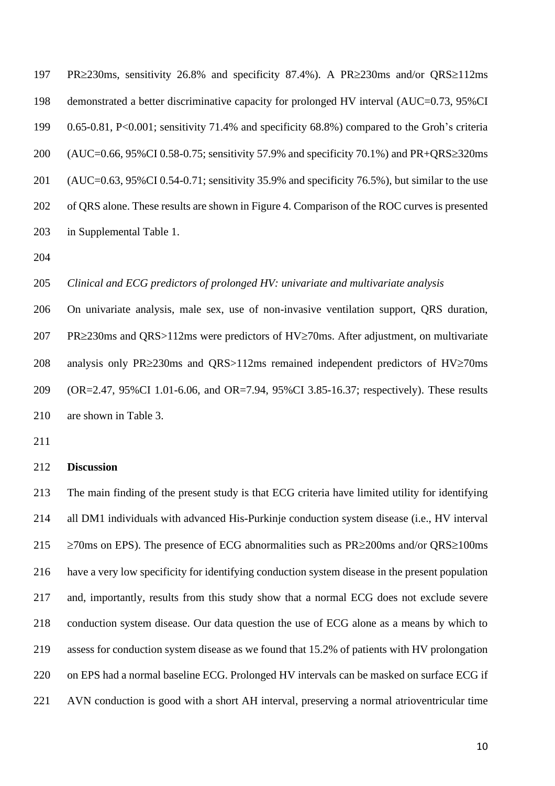197 PR $\geq$ 230ms, sensitivity 26.8% and specificity 87.4%). A PR $\geq$ 230ms and/or QRS $\geq$ 112ms demonstrated a better discriminative capacity for prolonged HV interval (AUC=0.73, 95%CI 0.65-0.81, P<0.001; sensitivity 71.4% and specificity 68.8%) compared to the Groh's criteria 200 (AUC=0.66, 95%CI 0.58-0.75; sensitivity 57.9% and specificity 70.1%) and PR+QRS $\geq$ 320ms (AUC=0.63, 95%CI 0.54-0.71; sensitivity 35.9% and specificity 76.5%), but similar to the use of QRS alone. These results are shown in Figure 4. Comparison of the ROC curves is presented in Supplemental Table 1.

### *Clinical and ECG predictors of prolonged HV: univariate and multivariate analysis*

 On univariate analysis, male sex, use of non-invasive ventilation support, QRS duration, 207 PR $\geq$ 230ms and QRS $>$ 112ms were predictors of HV $\geq$ 70ms. After adjustment, on multivariate 208 analysis only PR $\geq$ 230ms and ORS $>$ 112ms remained independent predictors of HV $\geq$ 70ms (OR=2.47, 95%CI 1.01-6.06, and OR=7.94, 95%CI 3.85-16.37; respectively). These results are shown in Table 3.

#### **Discussion**

 The main finding of the present study is that ECG criteria have limited utility for identifying all DM1 individuals with advanced His-Purkinje conduction system disease (i.e., HV interval  $\geq$  270ms on EPS). The presence of ECG abnormalities such as PR $\geq$ 200ms and/or QRS $\geq$ 100ms have a very low specificity for identifying conduction system disease in the present population and, importantly, results from this study show that a normal ECG does not exclude severe conduction system disease. Our data question the use of ECG alone as a means by which to assess for conduction system disease as we found that 15.2% of patients with HV prolongation on EPS had a normal baseline ECG. Prolonged HV intervals can be masked on surface ECG if AVN conduction is good with a short AH interval, preserving a normal atrioventricular time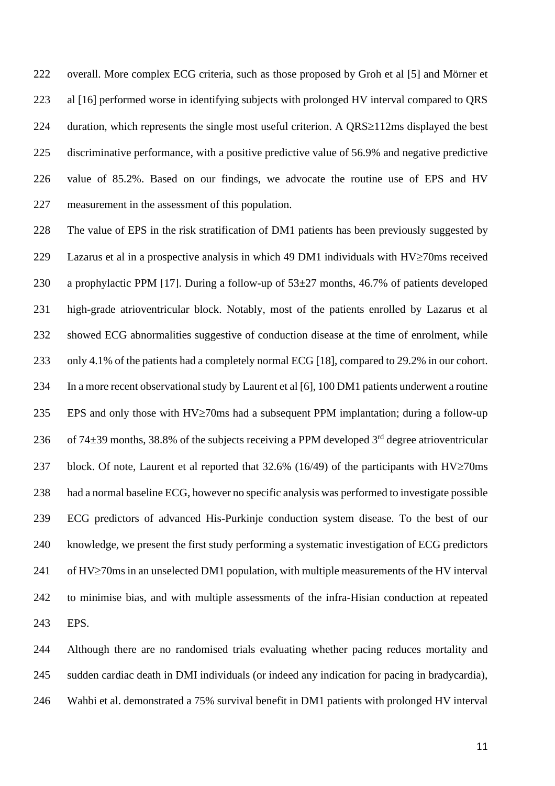overall. More complex ECG criteria, such as those proposed by Groh et al [5] and Mörner et al [16] performed worse in identifying subjects with prolonged HV interval compared to QRS 224 duration, which represents the single most useful criterion. A  $QRS\geq112$ ms displayed the best discriminative performance, with a positive predictive value of 56.9% and negative predictive value of 85.2%. Based on our findings, we advocate the routine use of EPS and HV measurement in the assessment of this population.

 The value of EPS in the risk stratification of DM1 patients has been previously suggested by 229 Lazarus et al in a prospective analysis in which 49 DM1 individuals with  $HV\geq70$ ms received 230 a prophylactic PPM [17]. During a follow-up of  $53\pm27$  months, 46.7% of patients developed high-grade atrioventricular block. Notably, most of the patients enrolled by Lazarus et al showed ECG abnormalities suggestive of conduction disease at the time of enrolment, while only 4.1% of the patients had a completely normal ECG [18], compared to 29.2% in our cohort. In a more recent observational study by Laurent et al [6], 100 DM1 patients underwent a routine 235 EPS and only those with  $HV\geq$ 70ms had a subsequent PPM implantation; during a follow-up 236 of 74 $\pm$ 39 months, 38.8% of the subjects receiving a PPM developed 3<sup>rd</sup> degree atrioventricular 237 block. Of note, Laurent et al reported that  $32.6\%$  (16/49) of the participants with HV $\geq$ 70ms had a normal baseline ECG, however no specific analysis was performed to investigate possible ECG predictors of advanced His-Purkinje conduction system disease. To the best of our knowledge, we present the first study performing a systematic investigation of ECG predictors of HV $\geq$ 70ms in an unselected DM1 population, with multiple measurements of the HV interval to minimise bias, and with multiple assessments of the infra-Hisian conduction at repeated EPS.

 Although there are no randomised trials evaluating whether pacing reduces mortality and sudden cardiac death in DMI individuals (or indeed any indication for pacing in bradycardia), Wahbi et al. demonstrated a 75% survival benefit in DM1 patients with prolonged HV interval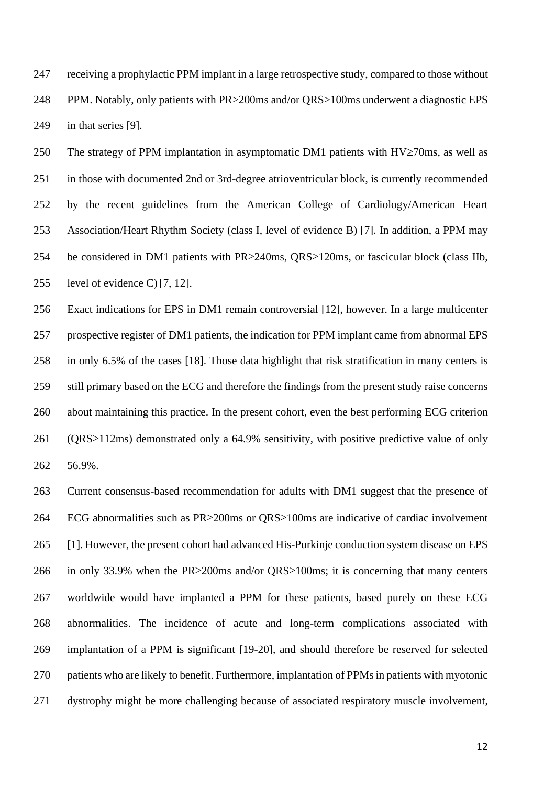receiving a prophylactic PPM implant in a large retrospective study, compared to those without PPM. Notably, only patients with PR>200ms and/or QRS>100ms underwent a diagnostic EPS in that series [9].

250 The strategy of PPM implantation in asymptomatic DM1 patients with  $HV\geq70$ ms, as well as in those with documented 2nd or 3rd-degree atrioventricular block, is currently recommended by the recent guidelines from the American College of Cardiology/American Heart Association/Heart Rhythm Society (class I, level of evidence B) [7]. In addition, a PPM may 254 be considered in DM1 patients with  $PR \geq 240$ ms,  $ORS \geq 120$ ms, or fascicular block (class IIb, level of evidence C) [7, 12].

 Exact indications for EPS in DM1 remain controversial [12], however. In a large multicenter prospective register of DM1 patients, the indication for PPM implant came from abnormal EPS in only 6.5% of the cases [18]. Those data highlight that risk stratification in many centers is still primary based on the ECG and therefore the findings from the present study raise concerns about maintaining this practice. In the present cohort, even the best performing ECG criterion (QRS $\geq$ 112ms) demonstrated only a 64.9% sensitivity, with positive predictive value of only 56.9%.

 Current consensus-based recommendation for adults with DM1 suggest that the presence of 264 ECG abnormalities such as  $PR \geq 200$  ms or  $QRS \geq 100$  ms are indicative of cardiac involvement [1]. However, the present cohort had advanced His-Purkinje conduction system disease on EPS 266 in only 33.9% when the PR $\geq$ 200ms and/or QRS $\geq$ 100ms; it is concerning that many centers worldwide would have implanted a PPM for these patients, based purely on these ECG abnormalities. The incidence of acute and long-term complications associated with implantation of a PPM is significant [19-20], and should therefore be reserved for selected patients who are likely to benefit. Furthermore, implantation of PPMs in patients with myotonic dystrophy might be more challenging because of associated respiratory muscle involvement,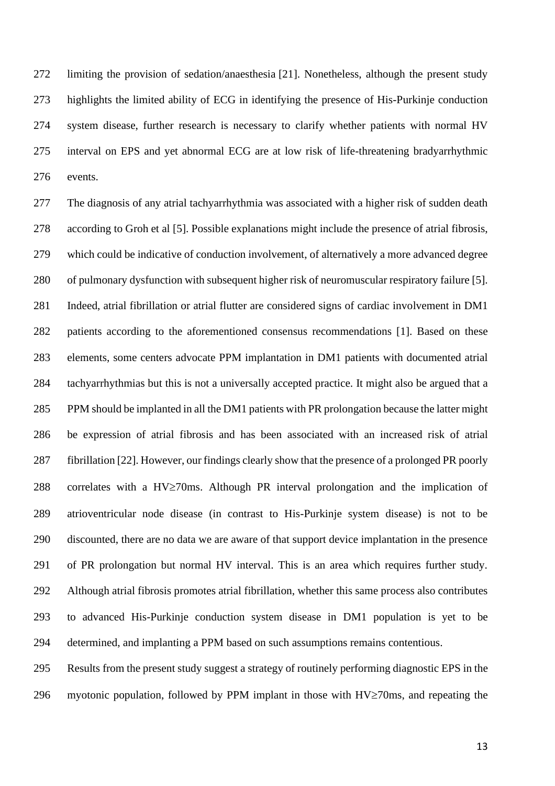limiting the provision of sedation/anaesthesia [21]. Nonetheless, although the present study highlights the limited ability of ECG in identifying the presence of His-Purkinje conduction system disease, further research is necessary to clarify whether patients with normal HV interval on EPS and yet abnormal ECG are at low risk of life-threatening bradyarrhythmic events.

 The diagnosis of any atrial tachyarrhythmia was associated with a higher risk of sudden death according to Groh et al [5]. Possible explanations might include the presence of atrial fibrosis, which could be indicative of conduction involvement, of alternatively a more advanced degree of pulmonary dysfunction with subsequent higher risk of neuromuscular respiratory failure [5]. Indeed, atrial fibrillation or atrial flutter are considered signs of cardiac involvement in DM1 patients according to the aforementioned consensus recommendations [1]. Based on these elements, some centers advocate PPM implantation in DM1 patients with documented atrial tachyarrhythmias but this is not a universally accepted practice. It might also be argued that a PPM should be implanted in all the DM1 patients with PR prolongation because the latter might be expression of atrial fibrosis and has been associated with an increased risk of atrial fibrillation [22]. However, our findings clearly show that the presence of a prolonged PR poorly 288 correlates with a  $HV\geq70$ ms. Although PR interval prolongation and the implication of atrioventricular node disease (in contrast to His-Purkinje system disease) is not to be discounted, there are no data we are aware of that support device implantation in the presence of PR prolongation but normal HV interval. This is an area which requires further study. Although atrial fibrosis promotes atrial fibrillation, whether this same process also contributes to advanced His-Purkinje conduction system disease in DM1 population is yet to be determined, and implanting a PPM based on such assumptions remains contentious.

 Results from the present study suggest a strategy of routinely performing diagnostic EPS in the 296 myotonic population, followed by PPM implant in those with  $HV\geq 70$ ms, and repeating the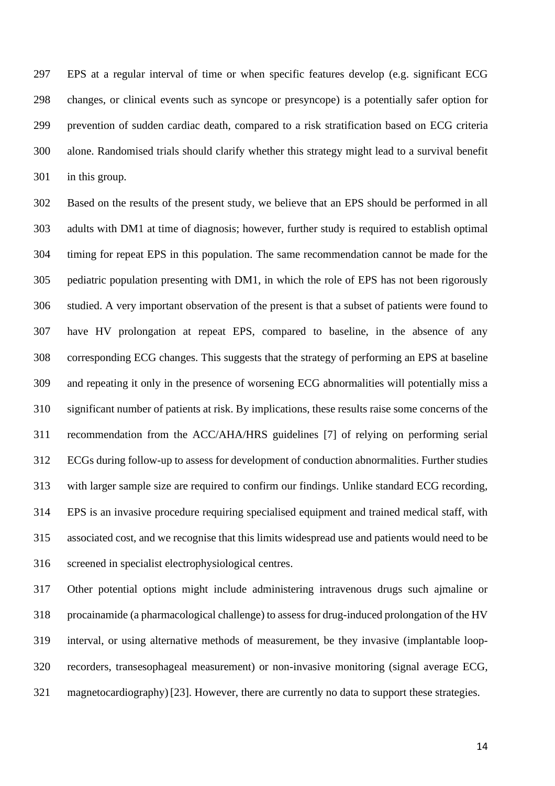EPS at a regular interval of time or when specific features develop (e.g. significant ECG changes, or clinical events such as syncope or presyncope) is a potentially safer option for prevention of sudden cardiac death, compared to a risk stratification based on ECG criteria alone. Randomised trials should clarify whether this strategy might lead to a survival benefit in this group.

 Based on the results of the present study, we believe that an EPS should be performed in all adults with DM1 at time of diagnosis; however, further study is required to establish optimal timing for repeat EPS in this population. The same recommendation cannot be made for the pediatric population presenting with DM1, in which the role of EPS has not been rigorously studied. A very important observation of the present is that a subset of patients were found to have HV prolongation at repeat EPS, compared to baseline, in the absence of any corresponding ECG changes. This suggests that the strategy of performing an EPS at baseline and repeating it only in the presence of worsening ECG abnormalities will potentially miss a significant number of patients at risk. By implications, these results raise some concerns of the recommendation from the ACC/AHA/HRS guidelines [7] of relying on performing serial ECGs during follow-up to assess for development of conduction abnormalities. Further studies with larger sample size are required to confirm our findings. Unlike standard ECG recording, EPS is an invasive procedure requiring specialised equipment and trained medical staff, with associated cost, and we recognise that this limits widespread use and patients would need to be screened in specialist electrophysiological centres.

 Other potential options might include administering intravenous drugs such ajmaline or procainamide (a pharmacological challenge) to assess for drug-induced prolongation of the HV interval, or using alternative methods of measurement, be they invasive (implantable loop- recorders, transesophageal measurement) or non-invasive monitoring (signal average ECG, magnetocardiography) [23]. However, there are currently no data to support these strategies.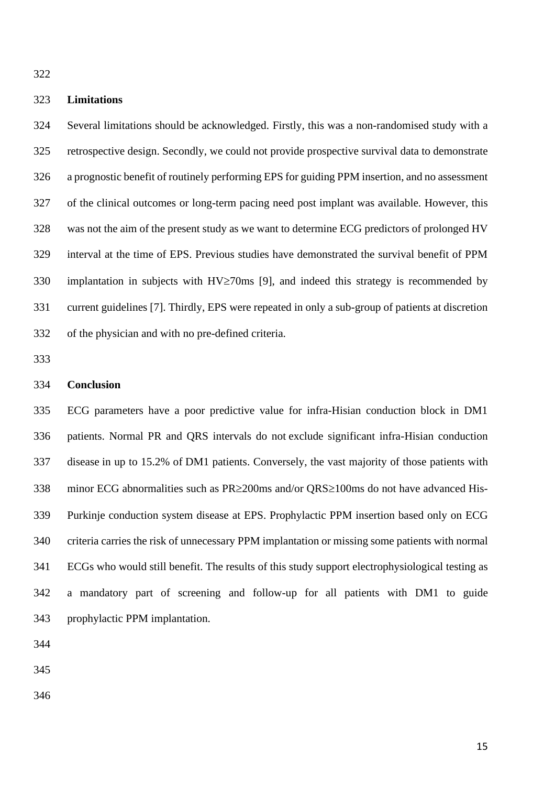## **Limitations**

 Several limitations should be acknowledged. Firstly, this was a non-randomised study with a retrospective design. Secondly, we could not provide prospective survival data to demonstrate a prognostic benefit of routinely performing EPS for guiding PPM insertion, and no assessment of the clinical outcomes or long-term pacing need post implant was available. However, this was not the aim of the present study as we want to determine ECG predictors of prolonged HV interval at the time of EPS. Previous studies have demonstrated the survival benefit of PPM 330 implantation in subjects with  $HV\geq$ 70ms [9], and indeed this strategy is recommended by current guidelines [7]. Thirdly, EPS were repeated in only a sub-group of patients at discretion of the physician and with no pre-defined criteria.

#### **Conclusion**

 ECG parameters have a poor predictive value for infra-Hisian conduction block in DM1 patients. Normal PR and QRS intervals do not exclude significant infra-Hisian conduction disease in up to 15.2% of DM1 patients. Conversely, the vast majority of those patients with 338 minor ECG abnormalities such as  $PR \geq 200$  ms and/or  $QRS \geq 100$  ms do not have advanced His- Purkinje conduction system disease at EPS. Prophylactic PPM insertion based only on ECG criteria carries the risk of unnecessary PPM implantation or missing some patients with normal ECGs who would still benefit. The results of this study support electrophysiological testing as a mandatory part of screening and follow-up for all patients with DM1 to guide prophylactic PPM implantation.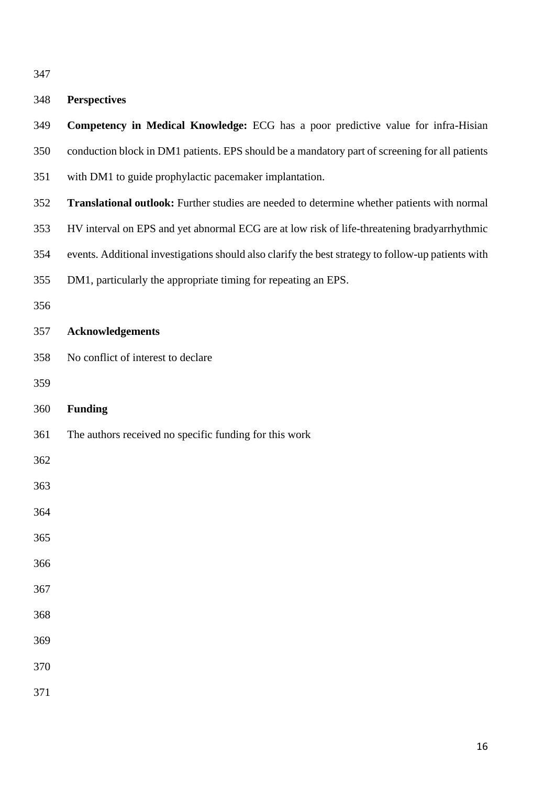# **Perspectives**

| 349 | Competency in Medical Knowledge: ECG has a poor predictive value for infra-Hisian                  |
|-----|----------------------------------------------------------------------------------------------------|
| 350 | conduction block in DM1 patients. EPS should be a mandatory part of screening for all patients     |
| 351 | with DM1 to guide prophylactic pacemaker implantation.                                             |
| 352 | Translational outlook: Further studies are needed to determine whether patients with normal        |
| 353 | HV interval on EPS and yet abnormal ECG are at low risk of life-threatening bradyarrhythmic        |
| 354 | events. Additional investigations should also clarify the best strategy to follow-up patients with |
| 355 | DM1, particularly the appropriate timing for repeating an EPS.                                     |
| 356 |                                                                                                    |
| 357 | <b>Acknowledgements</b>                                                                            |
| 358 | No conflict of interest to declare                                                                 |
| 359 |                                                                                                    |
| 360 | <b>Funding</b>                                                                                     |
| 361 | The authors received no specific funding for this work                                             |
| 362 |                                                                                                    |
| 363 |                                                                                                    |
| 364 |                                                                                                    |
| 365 |                                                                                                    |
| 366 |                                                                                                    |
| 367 |                                                                                                    |
| 368 |                                                                                                    |
| 369 |                                                                                                    |
| 370 |                                                                                                    |
| 371 |                                                                                                    |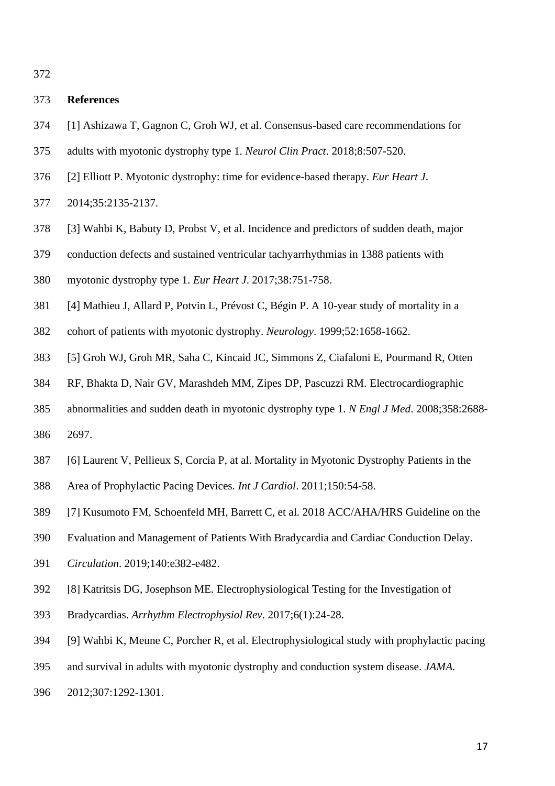## **References**

- [1] Ashizawa T, Gagnon C, Groh WJ, et al. Consensus-based care recommendations for
- adults with myotonic dystrophy type 1. *[Neurol Clin Pract](https://www.ncbi.nlm.nih.gov/pubmed/30588381)*. 2018;8:507-520.
- [2] Elliott P. Myotonic dystrophy: time for evidence-based therapy. *Eur Heart J*.
- 2014;35:2135-2137.
- [3] Wahbi K, Babuty D, Probst V, et al. Incidence and predictors of sudden death, major
- conduction defects and sustained ventricular tachyarrhythmias in 1388 patients with
- myotonic dystrophy type 1. *[Eur Heart J](https://www.ncbi.nlm.nih.gov/pubmed/27941019)*. 2017;38:751-758.
- [4] Mathieu J, Allard P, Potvin L, Prévost C, Bégin P. A 10-year study of mortality in a
- cohort of patients with myotonic dystrophy. *Neurology*. 1999;52:1658-1662.
- [5] Groh WJ, Groh MR, Saha C, Kincaid JC, Simmons Z, Ciafaloni E, Pourmand R, Otten
- RF, Bhakta D, Nair GV, Marashdeh MM, Zipes DP, Pascuzzi RM. Electrocardiographic
- abnormalities and sudden death in myotonic dystrophy type 1. *N Engl J Med*. 2008;358:2688- 2697.
- [6] Laurent V, Pellieux S, Corcia P, at al. Mortality in Myotonic Dystrophy Patients in the
- Area of Prophylactic Pacing Devices. *Int J Cardiol*. 2011;150:54-58.
- [7] Kusumoto FM, Schoenfeld MH, Barrett C, et al. 2018 ACC/AHA/HRS Guideline on the
- Evaluation and Management of Patients With Bradycardia and Cardiac Conduction Delay.
- *Circulation*. 2019;140:e382-e482.
- [8] Katritsis DG, Josephson ME. Electrophysiological Testing for the Investigation of
- Bradycardias. *Arrhythm Electrophysiol Rev*. 2017;6(1):24-28.
- [9] Wahbi K, Meune C, Porcher R, et al. Electrophysiological study with prophylactic pacing
- and survival in adults with myotonic dystrophy and conduction system disease. *JAMA.*
- 2012;307:1292-1301.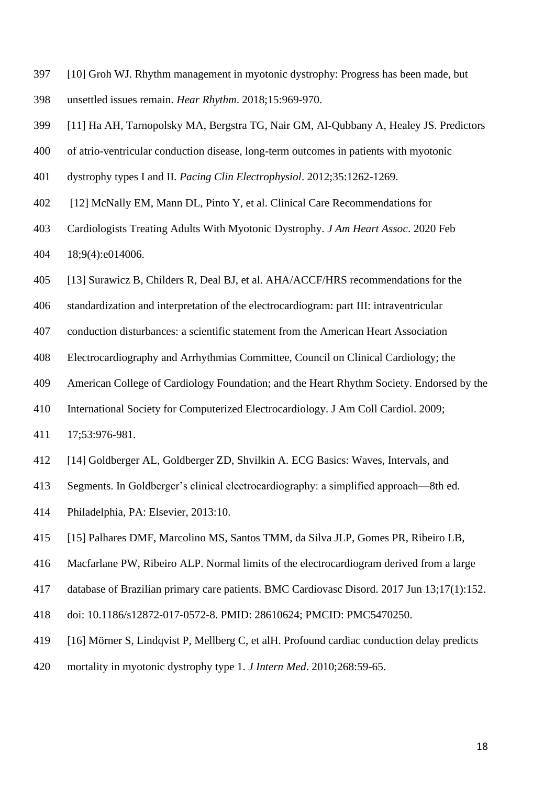- [10] Groh WJ. Rhythm management in myotonic dystrophy: Progress has been made, but unsettled issues remain. *Hear Rhythm*. 2018;15:969-970.
- [11] Ha AH, Tarnopolsky MA, Bergstra TG, Nair GM, Al-Qubbany A, Healey JS. Predictors
- of atrio-ventricular conduction disease, long-term outcomes in patients with myotonic
- dystrophy types I and II. *Pacing Clin Electrophysiol*. 2012;35:1262-1269.
- [12] McNally EM, Mann DL, Pinto Y, et al. Clinical Care Recommendations for
- Cardiologists Treating Adults With Myotonic Dystrophy. *J Am Heart Assoc*. 2020 Feb 18;9(4):e014006.
- [13] Surawicz B, Childers R, Deal BJ, et al. AHA/ACCF/HRS recommendations for the
- standardization and interpretation of the electrocardiogram: part III: intraventricular
- conduction disturbances: a scientific statement from the American Heart Association
- Electrocardiography and Arrhythmias Committee, Council on Clinical Cardiology; the
- American College of Cardiology Foundation; and the Heart Rhythm Society. Endorsed by the
- International Society for Computerized Electrocardiology. J Am Coll Cardiol. 2009;
- 17;53:976-981.
- [14] Goldberger AL, Goldberger ZD, Shvilkin A. ECG Basics: Waves, Intervals, and
- Segments. In Goldberger's clinical electrocardiography: a simplified approach—8th ed.
- Philadelphia, PA: Elsevier, 2013:10.
- [15] Palhares DMF, Marcolino MS, Santos TMM, da Silva JLP, Gomes PR, Ribeiro LB,
- Macfarlane PW, Ribeiro ALP. Normal limits of the electrocardiogram derived from a large
- database of Brazilian primary care patients. BMC Cardiovasc Disord. 2017 Jun 13;17(1):152.
- doi: 10.1186/s12872-017-0572-8. PMID: 28610624; PMCID: PMC5470250.
- [16] Mörner S, Lindqvist P, Mellberg C, et alH. Profound cardiac conduction delay predicts
- mortality in myotonic dystrophy type 1. *J Intern Med*. 2010;268:59-65.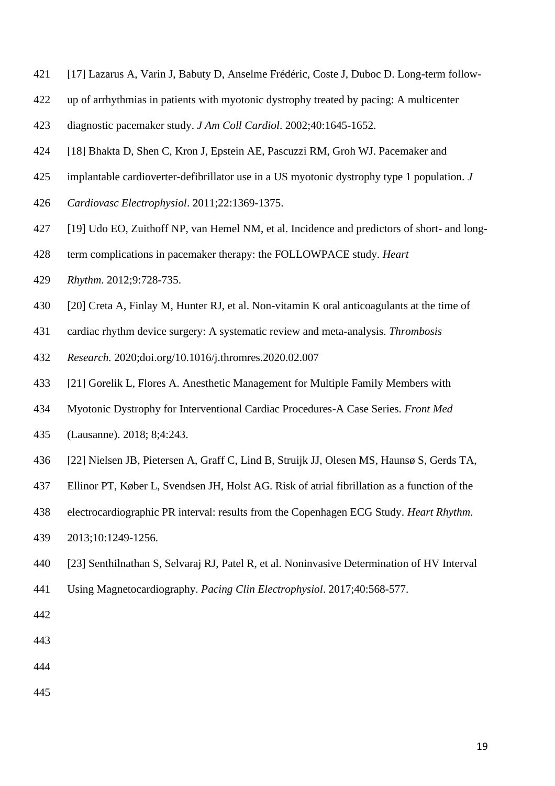- [17] Lazarus A, Varin J, Babuty D, Anselme Frédéric, Coste J, Duboc D. Long-term follow-
- up of arrhythmias in patients with myotonic dystrophy treated by pacing: A multicenter
- diagnostic pacemaker study. *J Am Coll Cardiol*. 2002;40:1645-1652.
- [18] Bhakta D, Shen C, Kron J, Epstein AE, Pascuzzi RM, Groh WJ. Pacemaker and
- implantable cardioverter-defibrillator use in a US myotonic dystrophy type 1 population. *J*
- *Cardiovasc Electrophysiol*. 2011;22:1369-1375.
- [19] Udo EO, Zuithoff NP, van Hemel NM, et al. Incidence and predictors of short- and long-
- term complications in pacemaker therapy: the FOLLOWPACE study. *[Heart](https://www.ncbi.nlm.nih.gov/pubmed/22182495)*
- *[Rhythm](https://www.ncbi.nlm.nih.gov/pubmed/22182495)*. 2012;9:728-735.
- [20] Creta A, Finlay M, Hunter RJ, et al. Non-vitamin K oral anticoagulants at the time of
- cardiac rhythm device surgery: A systematic review and meta-analysis. *Thrombosis*
- *Research.* 2020;doi.org/10.1016/j.thromres.2020.02.007
- [21] Gorelik L, Flores A. Anesthetic Management for Multiple Family Members with
- Myotonic Dystrophy for Interventional Cardiac Procedures-A Case Series. *Front Med*
- (Lausanne). 2018; 8;4:243.
- [22] Nielsen JB, Pietersen A, Graff C, Lind B, Struijk JJ, Olesen MS, Haunsø S, Gerds TA,
- Ellinor PT, Køber L, Svendsen JH, Holst AG. Risk of atrial fibrillation as a function of the
- electrocardiographic PR interval: results from the Copenhagen ECG Study. *Heart Rhythm*.
- 2013;10:1249-1256.
- [23] Senthilnathan S, Selvaraj RJ, Patel R, et al. Noninvasive Determination of HV Interval
- Using Magnetocardiography. *Pacing Clin Electrophysiol*. 2017;40:568-577.
- 
- 
- 
-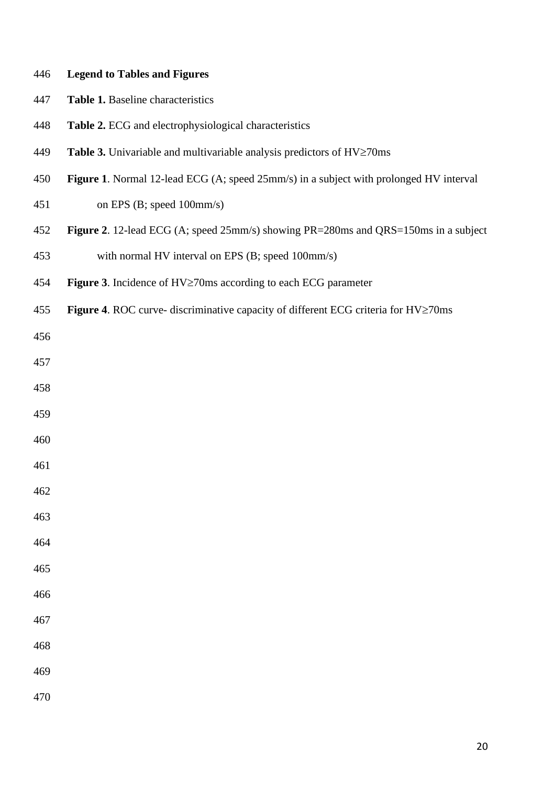## **Legend to Tables and Figures**

- **Table 1.** Baseline characteristics
- **Table 2.** ECG and electrophysiological characteristics
- 449 **Table 3.** Univariable and multivariable analysis predictors of  $HV \ge 70$ ms
- **Figure 1**. Normal 12-lead ECG (A; speed 25mm/s) in a subject with prolonged HV interval
- on EPS (B; speed 100mm/s)
- **Figure 2**. 12-lead ECG (A; speed 25mm/s) showing PR=280ms and QRS=150ms in a subject
- with normal HV interval on EPS (B; speed 100mm/s)
- **Figure 3**. Incidence of HV≥70ms according to each ECG parameter
- **Figure 4**. ROC curve- discriminative capacity of different ECG criteria for HV≥70ms

- 
- 
- 
- 
- 
- 
- 
- 
- 
- 
- 
- 
- 
- 
-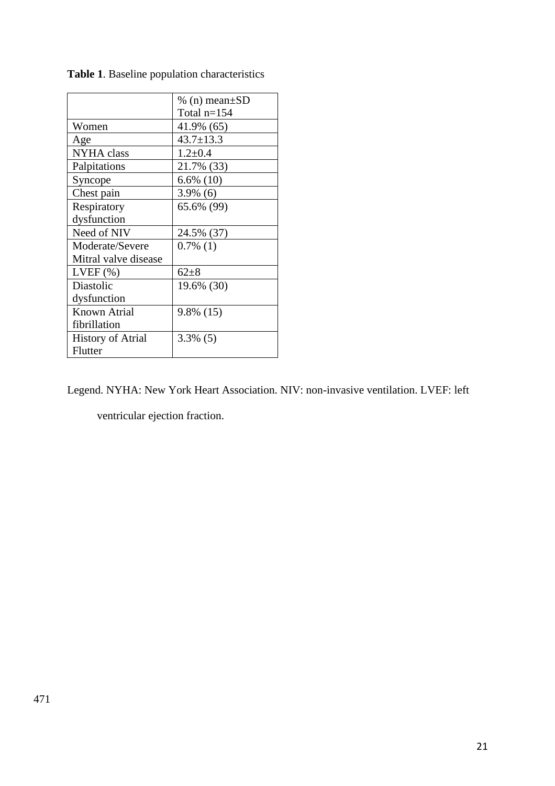|                          | % (n) mean $\pm SD$ |
|--------------------------|---------------------|
|                          | Total $n=154$       |
| Women                    | 41.9% (65)          |
| Age                      | $43.7 \pm 13.3$     |
| <b>NYHA</b> class        | $1.2 \pm 0.4$       |
| Palpitations             | 21.7% (33)          |
| Syncope                  | $6.6\%$ (10)        |
| Chest pain               | $3.9\%$ (6)         |
| Respiratory              | 65.6% (99)          |
| dysfunction              |                     |
| Need of NIV              | 24.5% (37)          |
| Moderate/Severe          | $0.7\%$ (1)         |
| Mitral valve disease     |                     |
| $LVEF$ $(\% )$           | $62+8$              |
| Diastolic                | 19.6% (30)          |
| dysfunction              |                     |
| <b>Known Atrial</b>      | 9.8% (15)           |
| fibrillation             |                     |
| <b>History of Atrial</b> | $3.3\%$ (5)         |
| Flutter                  |                     |

**Table 1**. Baseline population characteristics

Legend. NYHA: New York Heart Association. NIV: non-invasive ventilation. LVEF: left

ventricular ejection fraction.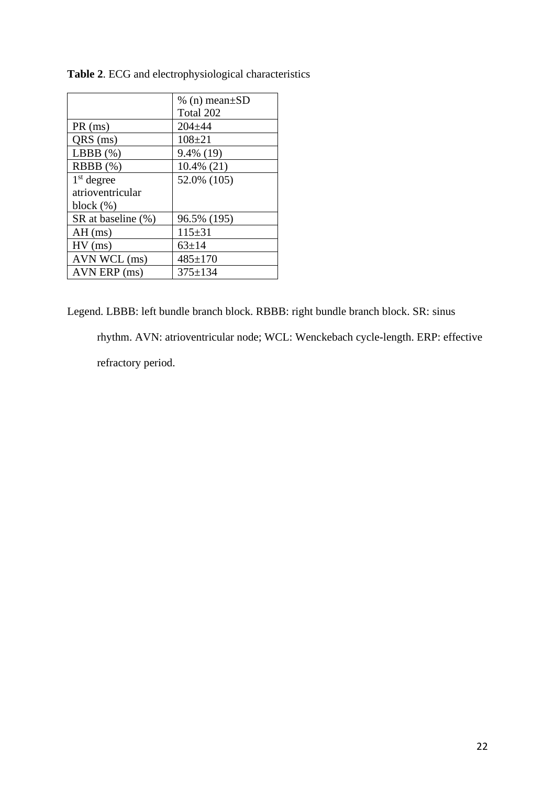|                    | % (n) mean $\pm SD$ |
|--------------------|---------------------|
|                    | Total 202           |
| PR(ms)             | $204 + 44$          |
| QRS (ms)           | $108 + 21$          |
| LBBB $(\%)$        | 9.4% (19)           |
| $RBBB$ $(\%)$      | $10.4\%$ (21)       |
| $1st$ degree       | 52.0% (105)         |
| atrioventricular   |                     |
| block $(\%)$       |                     |
| SR at baseline (%) | 96.5% (195)         |
| $AH$ (ms)          | $115 \pm 31$        |
| $HV$ (ms)          | $63 \pm 14$         |
| AVN WCL (ms)       | $485 \pm 170$       |
| AVN ERP (ms)       | $375 \pm 134$       |

**Table 2**. ECG and electrophysiological characteristics

Legend. LBBB: left bundle branch block. RBBB: right bundle branch block. SR: sinus rhythm. AVN: atrioventricular node; WCL: Wenckebach cycle-length. ERP: effective refractory period.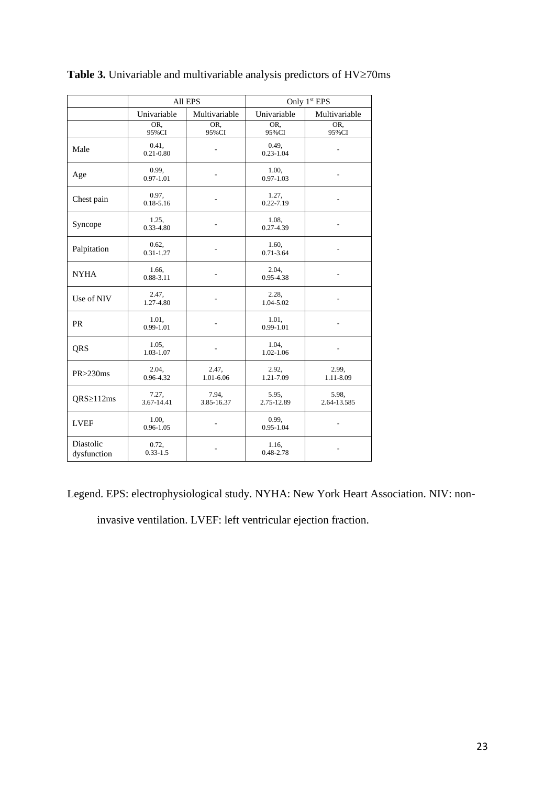|                          | All EPS                |                     | Only 1 <sup>st</sup> EPS |                      |
|--------------------------|------------------------|---------------------|--------------------------|----------------------|
|                          | Univariable            | Multivariable       | Univariable              | Multivariable        |
|                          | OR.<br>95%CI           | OR.<br>95%CI        | OR.<br>95%CI             | OR.<br>95%CI         |
| Male                     | 0.41,<br>$0.21 - 0.80$ |                     | 0.49,<br>$0.23 - 1.04$   |                      |
| Age                      | 0.99,<br>$0.97 - 1.01$ |                     | 1.00.<br>$0.97 - 1.03$   |                      |
| Chest pain               | 0.97,<br>$0.18 - 5.16$ |                     | 1.27,<br>$0.22 - 7.19$   |                      |
| Syncope                  | 1.25,<br>$0.33 - 4.80$ |                     | 1.08.<br>$0.27 - 4.39$   |                      |
| Palpitation              | 0.62,<br>$0.31 - 1.27$ |                     | 1.60.<br>$0.71 - 3.64$   |                      |
| <b>NYHA</b>              | 1.66.<br>$0.88 - 3.11$ |                     | 2.04.<br>0.95-4.38       |                      |
| Use of NIV               | 2.47,<br>1.27-4.80     |                     | 2.28,<br>1.04-5.02       |                      |
| <b>PR</b>                | 1.01,<br>$0.99 - 1.01$ |                     | 1.01,<br>$0.99 - 1.01$   |                      |
| QRS                      | 1.05,<br>1.03-1.07     | ÷.                  | 1.04.<br>1.02-1.06       | $\overline{a}$       |
| $PR > 230$ ms            | 2.04.<br>0.96-4.32     | 2.47,<br>1.01-6.06  | 2.92,<br>1.21-7.09       | 2.99,<br>1.11-8.09   |
| QRS≥112ms                | 7.27,<br>3.67-14.41    | 7.94.<br>3.85-16.37 | 5.95,<br>2.75-12.89      | 5.98.<br>2.64-13.585 |
| <b>LVEF</b>              | 1.00,<br>$0.96 - 1.05$ |                     | 0.99.<br>$0.95 - 1.04$   |                      |
| Diastolic<br>dysfunction | 0.72,<br>$0.33 - 1.5$  |                     | 1.16,<br>0.48-2.78       |                      |

**Table 3.** Univariable and multivariable analysis predictors of  $HV \ge 70$ ms

Legend. EPS: electrophysiological study. NYHA: New York Heart Association. NIV: non-

invasive ventilation. LVEF: left ventricular ejection fraction.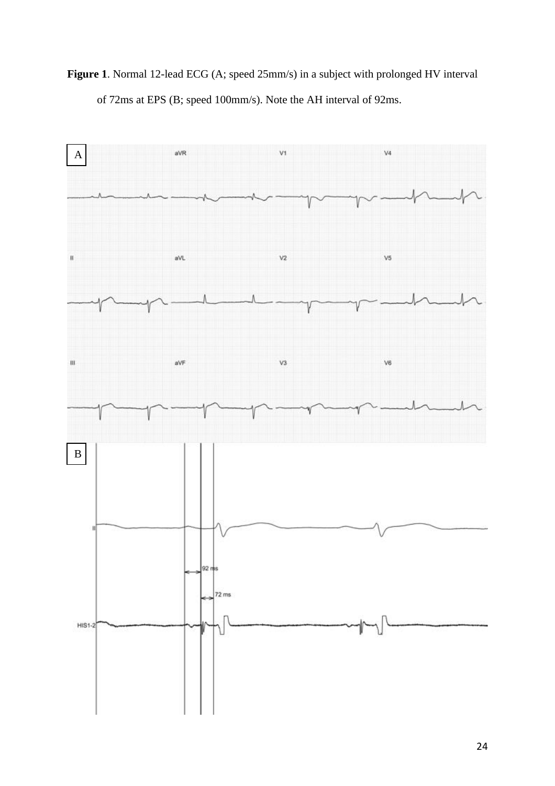**Figure 1**. Normal 12-lead ECG (A; speed 25mm/s) in a subject with prolonged HV interval of 72ms at EPS (B; speed 100mm/s). Note the AH interval of 92ms.

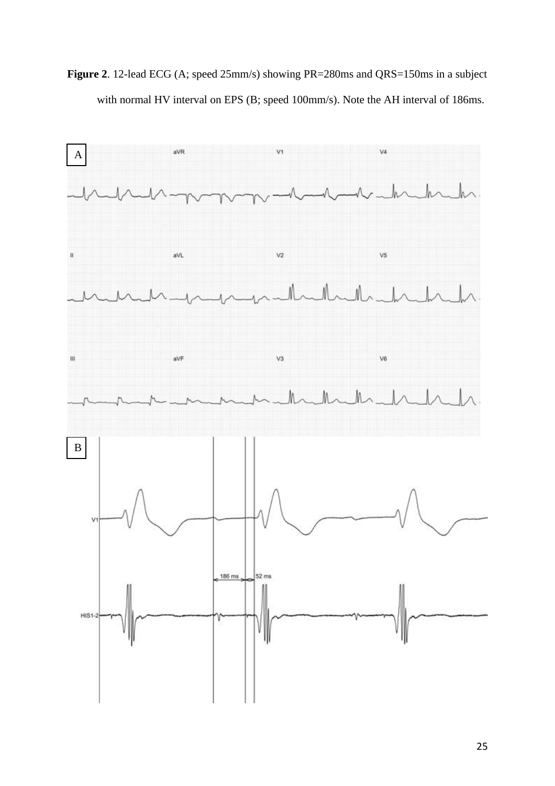**Figure 2**. 12-lead ECG (A; speed 25mm/s) showing PR=280ms and QRS=150ms in a subject with normal HV interval on EPS (B; speed 100mm/s). Note the AH interval of 186ms.

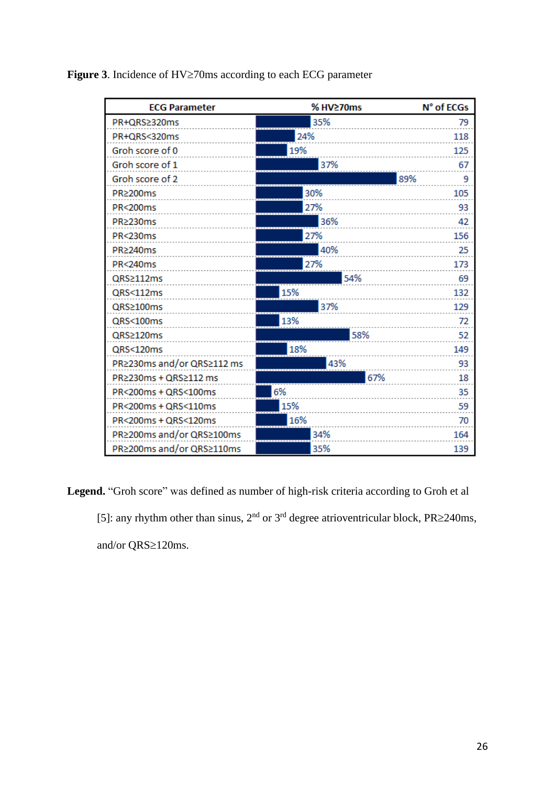Figure 3. Incidence of HV $\geq$ 70ms according to each ECG parameter

| <b>ECG Parameter</b>       | % HV≥70ms | N° of ECGs |
|----------------------------|-----------|------------|
| PR+QRS≥320ms               | 35%       | 79         |
| PR+QRS<320ms               | 24%       | 118        |
| Groh score of 0            | 19%       | 125        |
| Groh score of 1            | 37%       | 67         |
| Groh score of 2            |           | 89%<br>9   |
| PR≥200ms                   | 30%       | 105        |
| PR<200ms                   | 27%       | 93         |
| PR≥230ms                   | 36%       | 42         |
| PR<230ms                   | 27%       | 156        |
| PR≥240ms                   | 40%       | 25         |
| <b>PR&lt;240ms</b>         | 27%       | 173        |
| QRS≥112ms                  | 54%       | 69         |
| QRS<112ms                  | 15%       | 132        |
| QRS≥100ms                  | 37%       | 129        |
| QRS<100ms                  | 13%       | 72         |
| QRS≥120ms                  | 58%       | 52         |
| QRS<120ms                  | 18%       | 149        |
| PR≥230ms and/or QRS≥112 ms | 43%       | 93         |
| PR≥230ms + QRS≥112 ms      | 67%       | 18         |
| PR<200ms + QRS<100ms       | 6%        | 35         |
| PR<200ms + QRS<110ms       | 15%       | 59         |
| PR<200ms + QRS<120ms       | 16%       | 70         |
| PR≥200ms and/or QRS≥100ms  | 34%       | 164        |
| PR≥200ms and/or QRS≥110ms  | 35%       | 139        |

**Legend.** "Groh score" was defined as number of high-risk criteria according to Groh et al

[5]: any rhythm other than sinus,  $2<sup>nd</sup>$  or  $3<sup>rd</sup>$  degree atrioventricular block, PR $\geq$ 240ms, and/or  $QRS\ge120$ ms.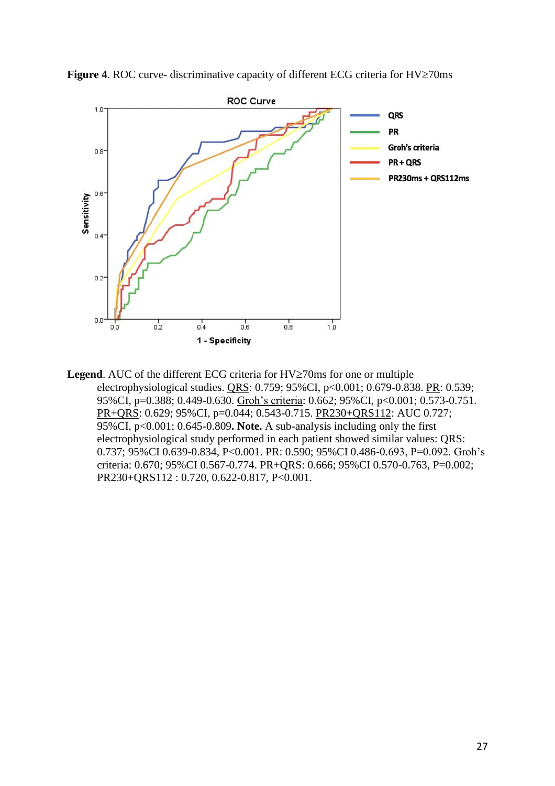

**Figure 4.** ROC curve- discriminative capacity of different ECG criteria for  $HV \ge 70$ ms

**Legend**. AUC of the different ECG criteria for  $HV \ge 70$ ms for one or multiple electrophysiological studies. QRS: 0.759; 95%CI, p<0.001; 0.679-0.838. PR: 0.539; 95%CI, p=0.388; 0.449-0.630. Groh's criteria: 0.662; 95%CI, p<0.001; 0.573-0.751. PR+QRS: 0.629; 95%CI, p=0.044; 0.543-0.715. PR230+QRS112: AUC 0.727; 95%CI, p<0.001; 0.645-0.809**. Note.** A sub-analysis including only the first electrophysiological study performed in each patient showed similar values: QRS: 0.737; 95%CI 0.639-0.834, P<0.001. PR: 0.590; 95%CI 0.486-0.693, P=0.092. Groh's criteria: 0.670; 95%CI 0.567-0.774. PR+QRS: 0.666; 95%CI 0.570-0.763, P=0.002; PR230+QRS112 : 0.720, 0.622-0.817, P<0.001.